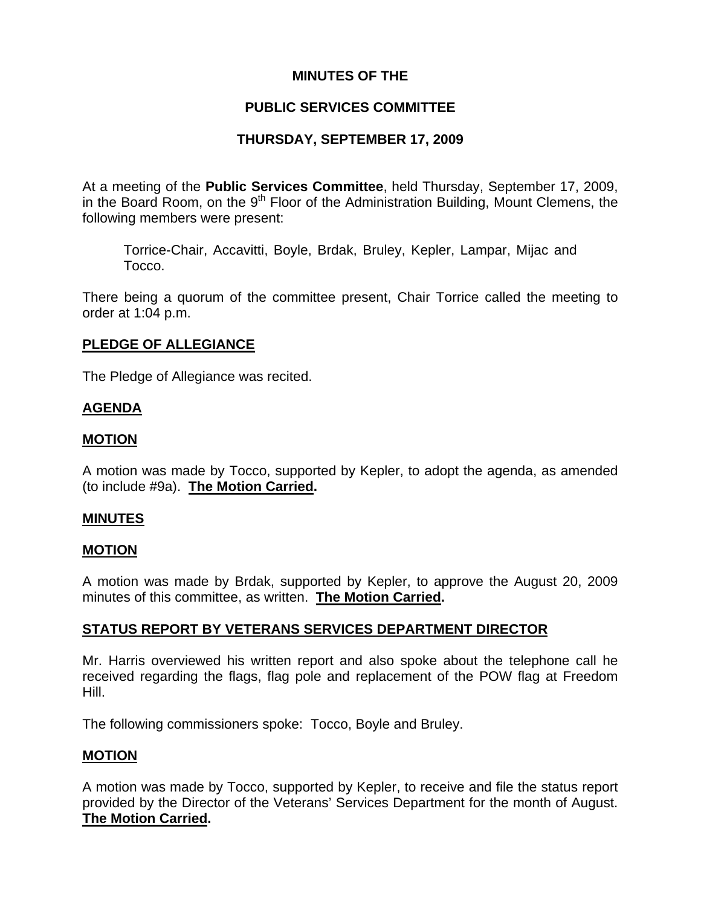# **MINUTES OF THE**

# **PUBLIC SERVICES COMMITTEE**

# **THURSDAY, SEPTEMBER 17, 2009**

At a meeting of the **Public Services Committee**, held Thursday, September 17, 2009, in the Board Room, on the  $9<sup>th</sup>$  Floor of the Administration Building, Mount Clemens, the following members were present:

Torrice-Chair, Accavitti, Boyle, Brdak, Bruley, Kepler, Lampar, Mijac and Tocco.

There being a quorum of the committee present, Chair Torrice called the meeting to order at 1:04 p.m.

# **PLEDGE OF ALLEGIANCE**

The Pledge of Allegiance was recited.

# **AGENDA**

## **MOTION**

A motion was made by Tocco, supported by Kepler, to adopt the agenda, as amended (to include #9a). **The Motion Carried.** 

### **MINUTES**

### **MOTION**

A motion was made by Brdak, supported by Kepler, to approve the August 20, 2009 minutes of this committee, as written. **The Motion Carried.** 

# **STATUS REPORT BY VETERANS SERVICES DEPARTMENT DIRECTOR**

Mr. Harris overviewed his written report and also spoke about the telephone call he received regarding the flags, flag pole and replacement of the POW flag at Freedom Hill.

The following commissioners spoke: Tocco, Boyle and Bruley.

### **MOTION**

A motion was made by Tocco, supported by Kepler, to receive and file the status report provided by the Director of the Veterans' Services Department for the month of August. **The Motion Carried.**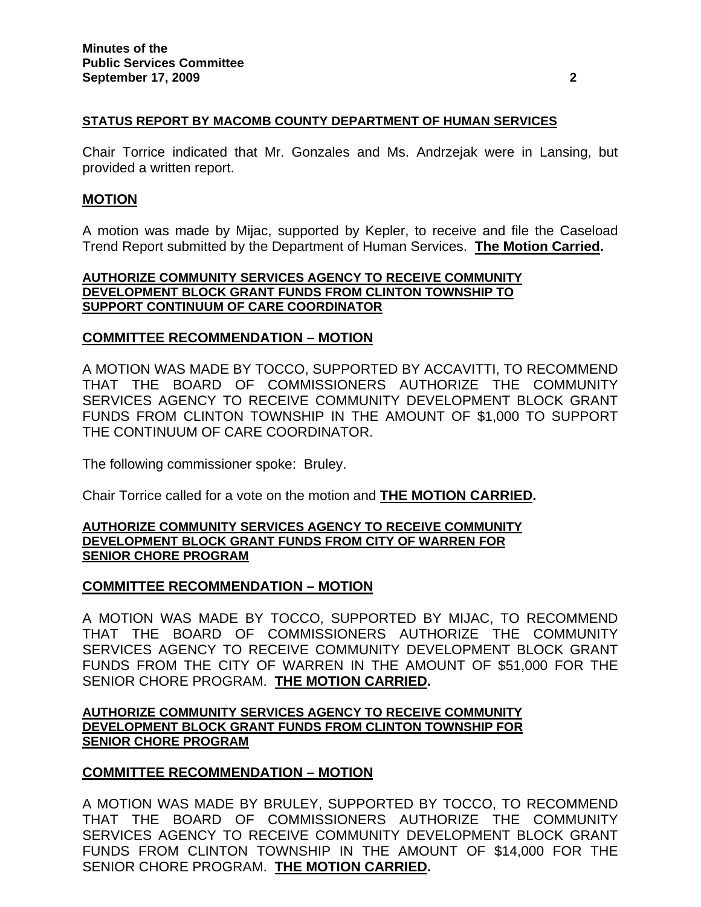#### **STATUS REPORT BY MACOMB COUNTY DEPARTMENT OF HUMAN SERVICES**

Chair Torrice indicated that Mr. Gonzales and Ms. Andrzejak were in Lansing, but provided a written report.

#### **MOTION**

A motion was made by Mijac, supported by Kepler, to receive and file the Caseload Trend Report submitted by the Department of Human Services. **The Motion Carried.** 

#### **AUTHORIZE COMMUNITY SERVICES AGENCY TO RECEIVE COMMUNITY DEVELOPMENT BLOCK GRANT FUNDS FROM CLINTON TOWNSHIP TO SUPPORT CONTINUUM OF CARE COORDINATOR**

#### **COMMITTEE RECOMMENDATION – MOTION**

A MOTION WAS MADE BY TOCCO, SUPPORTED BY ACCAVITTI, TO RECOMMEND THAT THE BOARD OF COMMISSIONERS AUTHORIZE THE COMMUNITY SERVICES AGENCY TO RECEIVE COMMUNITY DEVELOPMENT BLOCK GRANT FUNDS FROM CLINTON TOWNSHIP IN THE AMOUNT OF \$1,000 TO SUPPORT THE CONTINUUM OF CARE COORDINATOR.

The following commissioner spoke: Bruley.

Chair Torrice called for a vote on the motion and **THE MOTION CARRIED.** 

#### **AUTHORIZE COMMUNITY SERVICES AGENCY TO RECEIVE COMMUNITY DEVELOPMENT BLOCK GRANT FUNDS FROM CITY OF WARREN FOR SENIOR CHORE PROGRAM**

### **COMMITTEE RECOMMENDATION – MOTION**

A MOTION WAS MADE BY TOCCO, SUPPORTED BY MIJAC, TO RECOMMEND THAT THE BOARD OF COMMISSIONERS AUTHORIZE THE COMMUNITY SERVICES AGENCY TO RECEIVE COMMUNITY DEVELOPMENT BLOCK GRANT FUNDS FROM THE CITY OF WARREN IN THE AMOUNT OF \$51,000 FOR THE SENIOR CHORE PROGRAM. **THE MOTION CARRIED.** 

#### **AUTHORIZE COMMUNITY SERVICES AGENCY TO RECEIVE COMMUNITY DEVELOPMENT BLOCK GRANT FUNDS FROM CLINTON TOWNSHIP FOR SENIOR CHORE PROGRAM**

### **COMMITTEE RECOMMENDATION – MOTION**

A MOTION WAS MADE BY BRULEY, SUPPORTED BY TOCCO, TO RECOMMEND THAT THE BOARD OF COMMISSIONERS AUTHORIZE THE COMMUNITY SERVICES AGENCY TO RECEIVE COMMUNITY DEVELOPMENT BLOCK GRANT FUNDS FROM CLINTON TOWNSHIP IN THE AMOUNT OF \$14,000 FOR THE SENIOR CHORE PROGRAM. **THE MOTION CARRIED.**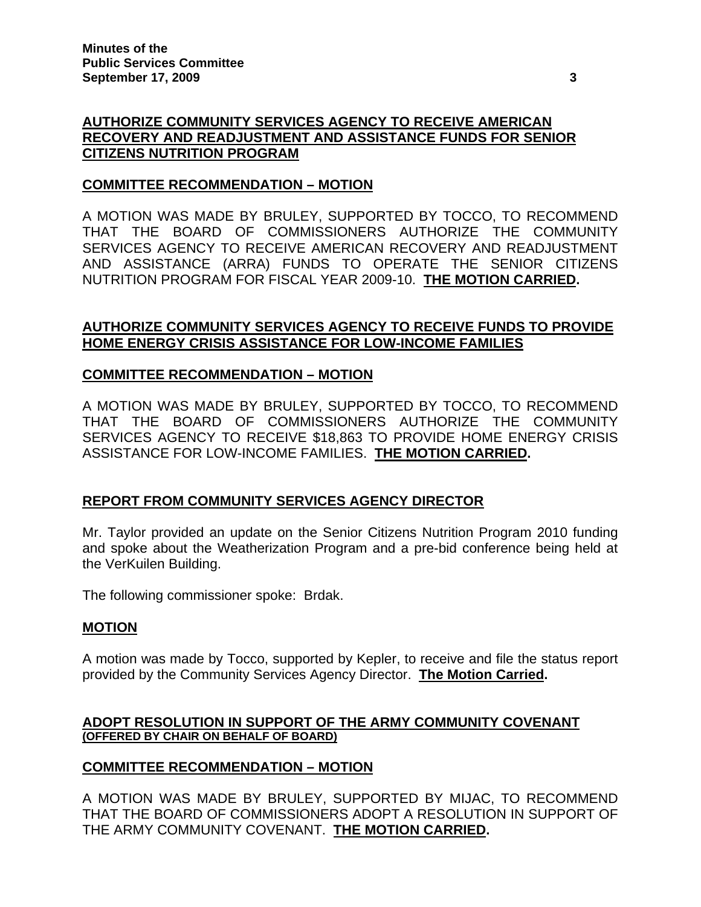# **AUTHORIZE COMMUNITY SERVICES AGENCY TO RECEIVE AMERICAN RECOVERY AND READJUSTMENT AND ASSISTANCE FUNDS FOR SENIOR CITIZENS NUTRITION PROGRAM**

## **COMMITTEE RECOMMENDATION – MOTION**

A MOTION WAS MADE BY BRULEY, SUPPORTED BY TOCCO, TO RECOMMEND THAT THE BOARD OF COMMISSIONERS AUTHORIZE THE COMMUNITY SERVICES AGENCY TO RECEIVE AMERICAN RECOVERY AND READJUSTMENT AND ASSISTANCE (ARRA) FUNDS TO OPERATE THE SENIOR CITIZENS NUTRITION PROGRAM FOR FISCAL YEAR 2009-10. **THE MOTION CARRIED.** 

# **AUTHORIZE COMMUNITY SERVICES AGENCY TO RECEIVE FUNDS TO PROVIDE HOME ENERGY CRISIS ASSISTANCE FOR LOW-INCOME FAMILIES**

## **COMMITTEE RECOMMENDATION – MOTION**

A MOTION WAS MADE BY BRULEY, SUPPORTED BY TOCCO, TO RECOMMEND THAT THE BOARD OF COMMISSIONERS AUTHORIZE THE COMMUNITY SERVICES AGENCY TO RECEIVE \$18,863 TO PROVIDE HOME ENERGY CRISIS ASSISTANCE FOR LOW-INCOME FAMILIES. **THE MOTION CARRIED.** 

# **REPORT FROM COMMUNITY SERVICES AGENCY DIRECTOR**

Mr. Taylor provided an update on the Senior Citizens Nutrition Program 2010 funding and spoke about the Weatherization Program and a pre-bid conference being held at the VerKuilen Building.

The following commissioner spoke: Brdak.

### **MOTION**

A motion was made by Tocco, supported by Kepler, to receive and file the status report provided by the Community Services Agency Director. **The Motion Carried.** 

### **ADOPT RESOLUTION IN SUPPORT OF THE ARMY COMMUNITY COVENANT (OFFERED BY CHAIR ON BEHALF OF BOARD)**

### **COMMITTEE RECOMMENDATION – MOTION**

A MOTION WAS MADE BY BRULEY, SUPPORTED BY MIJAC, TO RECOMMEND THAT THE BOARD OF COMMISSIONERS ADOPT A RESOLUTION IN SUPPORT OF THE ARMY COMMUNITY COVENANT. **THE MOTION CARRIED.**